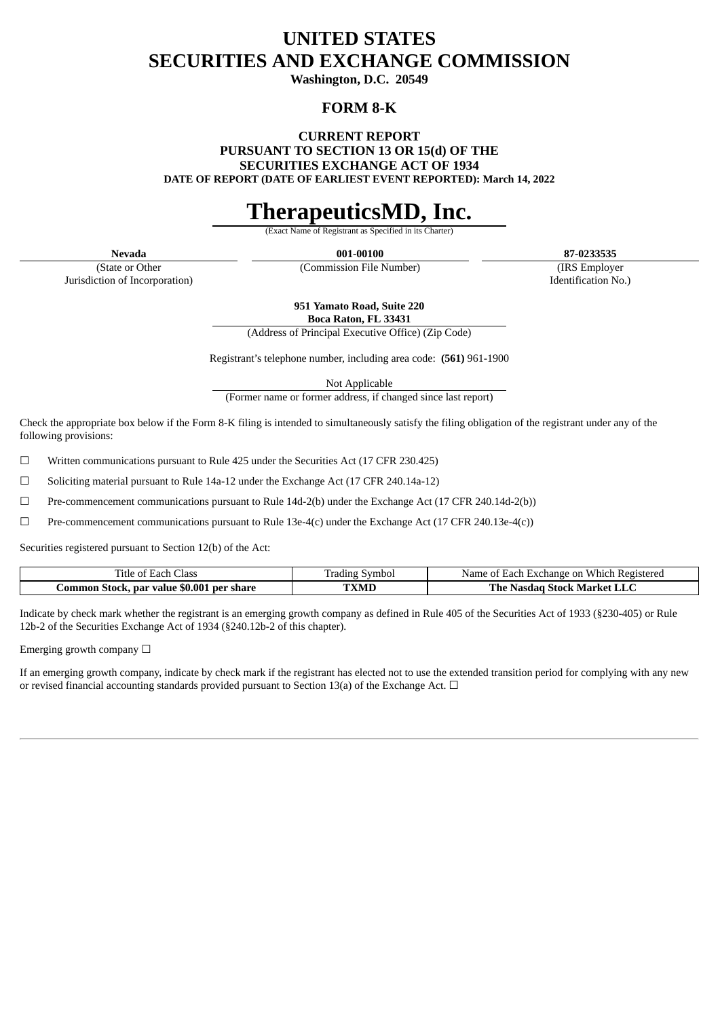## **UNITED STATES SECURITIES AND EXCHANGE COMMISSION**

**Washington, D.C. 20549**

## **FORM 8-K**

**CURRENT REPORT**

**PURSUANT TO SECTION 13 OR 15(d) OF THE**

**SECURITIES EXCHANGE ACT OF 1934**

**DATE OF REPORT (DATE OF EARLIEST EVENT REPORTED): March 14, 2022**

# **TherapeuticsMD, Inc.**

**Exact Name of Registrant as** 

**Nevada 001-00100 87-0233535**

(State or Other Jurisdiction of Incorporation)

(Commission File Number) (IRS Employer Identification No.)

**951 Yamato Road, Suite 220**

**Boca Raton, FL 33431** (Address of Principal Executive Office) (Zip Code)

Registrant's telephone number, including area code: **(561)** 961-1900

Not Applicable

(Former name or former address, if changed since last report)

Check the appropriate box below if the Form 8-K filing is intended to simultaneously satisfy the filing obligation of the registrant under any of the following provisions:

 $\Box$  Written communications pursuant to Rule 425 under the Securities Act (17 CFR 230.425)

 $\Box$  Soliciting material pursuant to Rule 14a-12 under the Exchange Act (17 CFR 240.14a-12)

 $\Box$  Pre-commencement communications pursuant to Rule 14d-2(b) under the Exchange Act (17 CFR 240.14d-2(b))

 $□$  Pre-commencement communications pursuant to Rule 13e-4(c) under the Exchange Act (17 CFR 240.13e-4(c))

Securities registered pursuant to Section 12(b) of the Act:

| Class<br>ΩŤ<br>. itle<br>sach                         | Fradıng<br>Symbol | . Which<br><b>Registered</b><br>≾xchange on<br>Name<br>Each<br>$\sim$ +<br>$\cdot$ $\Gamma$ . X $\cdot$ |
|-------------------------------------------------------|-------------------|---------------------------------------------------------------------------------------------------------|
| \$0.001<br>. per share<br>-Stock, par value<br>.ommon | TXMI              | The .<br>. Stock Market "<br>Nasdad                                                                     |

Indicate by check mark whether the registrant is an emerging growth company as defined in Rule 405 of the Securities Act of 1933 (§230-405) or Rule 12b-2 of the Securities Exchange Act of 1934 (§240.12b-2 of this chapter).

Emerging growth company  $\Box$ 

If an emerging growth company, indicate by check mark if the registrant has elected not to use the extended transition period for complying with any new or revised financial accounting standards provided pursuant to Section 13(a) of the Exchange Act.  $\Box$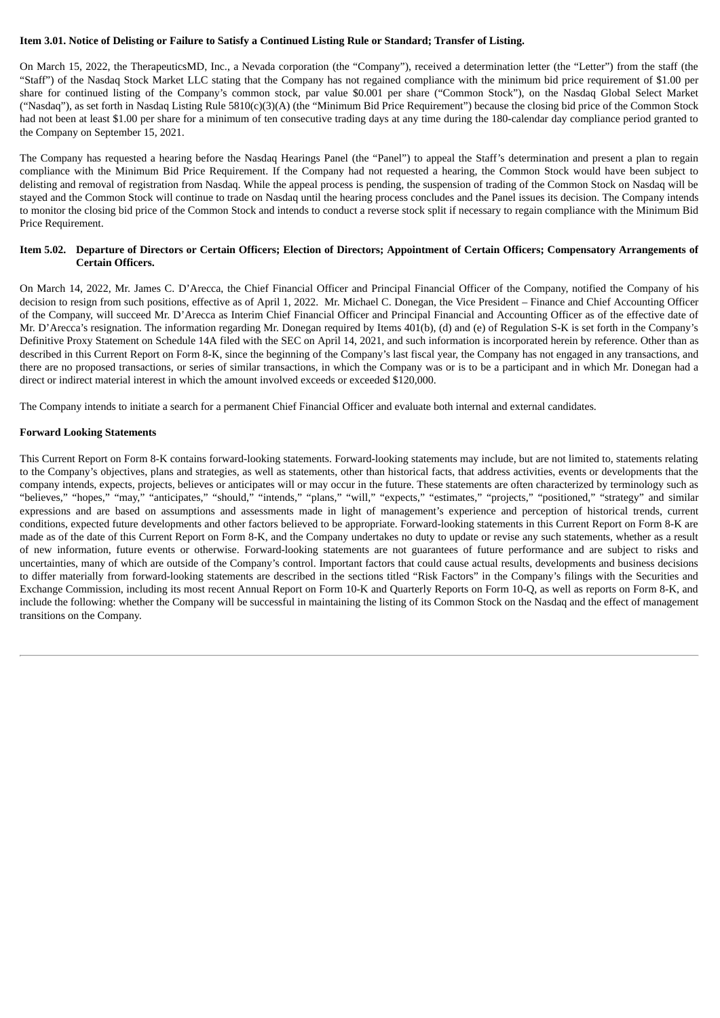#### Item 3.01. Notice of Delisting or Failure to Satisfy a Continued Listing Rule or Standard; Transfer of Listing.

On March 15, 2022, the TherapeuticsMD, Inc., a Nevada corporation (the "Company"), received a determination letter (the "Letter") from the staff (the "Staff") of the Nasdaq Stock Market LLC stating that the Company has not regained compliance with the minimum bid price requirement of \$1.00 per share for continued listing of the Company's common stock, par value \$0.001 per share ("Common Stock"), on the Nasdaq Global Select Market ("Nasdaq"), as set forth in Nasdaq Listing Rule 5810(c)(3)(A) (the "Minimum Bid Price Requirement") because the closing bid price of the Common Stock had not been at least \$1.00 per share for a minimum of ten consecutive trading days at any time during the 180-calendar day compliance period granted to the Company on September 15, 2021.

The Company has requested a hearing before the Nasdaq Hearings Panel (the "Panel") to appeal the Staff's determination and present a plan to regain compliance with the Minimum Bid Price Requirement. If the Company had not requested a hearing, the Common Stock would have been subject to delisting and removal of registration from Nasdaq. While the appeal process is pending, the suspension of trading of the Common Stock on Nasdaq will be stayed and the Common Stock will continue to trade on Nasdaq until the hearing process concludes and the Panel issues its decision. The Company intends to monitor the closing bid price of the Common Stock and intends to conduct a reverse stock split if necessary to regain compliance with the Minimum Bid Price Requirement.

#### Item 5.02. Departure of Directors or Certain Officers; Election of Directors; Appointment of Certain Officers; Compensatory Arrangements of **Certain Officers.**

On March 14, 2022, Mr. James C. D'Arecca, the Chief Financial Officer and Principal Financial Officer of the Company, notified the Company of his decision to resign from such positions, effective as of April 1, 2022. Mr. Michael C. Donegan, the Vice President – Finance and Chief Accounting Officer of the Company, will succeed Mr. D'Arecca as Interim Chief Financial Officer and Principal Financial and Accounting Officer as of the effective date of Mr. D'Arecca's resignation. The information regarding Mr. Donegan required by Items 401(b), (d) and (e) of Regulation S-K is set forth in the Company's Definitive Proxy Statement on Schedule 14A filed with the SEC on April 14, 2021, and such information is incorporated herein by reference. Other than as described in this Current Report on Form 8-K, since the beginning of the Company's last fiscal year, the Company has not engaged in any transactions, and there are no proposed transactions, or series of similar transactions, in which the Company was or is to be a participant and in which Mr. Donegan had a direct or indirect material interest in which the amount involved exceeds or exceeded \$120,000.

The Company intends to initiate a search for a permanent Chief Financial Officer and evaluate both internal and external candidates.

#### **Forward Looking Statements**

This Current Report on Form 8-K contains forward-looking statements. Forward-looking statements may include, but are not limited to, statements relating to the Company's objectives, plans and strategies, as well as statements, other than historical facts, that address activities, events or developments that the company intends, expects, projects, believes or anticipates will or may occur in the future. These statements are often characterized by terminology such as "believes," "hopes," "may," "anticipates," "should," "intends," "plans," "will," "expects," "estimates," "projects," "positioned," "strategy" and similar expressions and are based on assumptions and assessments made in light of management's experience and perception of historical trends, current conditions, expected future developments and other factors believed to be appropriate. Forward-looking statements in this Current Report on Form 8-K are made as of the date of this Current Report on Form 8-K, and the Company undertakes no duty to update or revise any such statements, whether as a result of new information, future events or otherwise. Forward-looking statements are not guarantees of future performance and are subject to risks and uncertainties, many of which are outside of the Company's control. Important factors that could cause actual results, developments and business decisions to differ materially from forward-looking statements are described in the sections titled "Risk Factors" in the Company's filings with the Securities and Exchange Commission, including its most recent Annual Report on Form 10-K and Quarterly Reports on Form 10-Q, as well as reports on Form 8-K, and include the following: whether the Company will be successful in maintaining the listing of its Common Stock on the Nasdaq and the effect of management transitions on the Company.